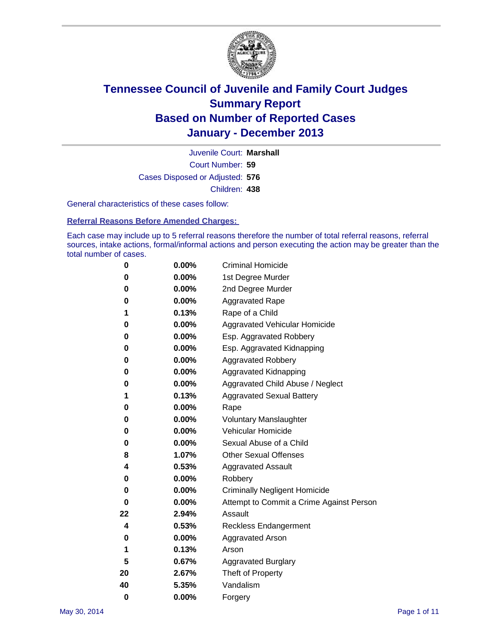

Court Number: **59** Juvenile Court: **Marshall** Cases Disposed or Adjusted: **576** Children: **438**

General characteristics of these cases follow:

**Referral Reasons Before Amended Charges:** 

Each case may include up to 5 referral reasons therefore the number of total referral reasons, referral sources, intake actions, formal/informal actions and person executing the action may be greater than the total number of cases.

| 0        | $0.00\%$ | <b>Criminal Homicide</b>                 |
|----------|----------|------------------------------------------|
| 0        | 0.00%    | 1st Degree Murder                        |
| 0        | 0.00%    | 2nd Degree Murder                        |
| 0        | $0.00\%$ | <b>Aggravated Rape</b>                   |
| 1        | 0.13%    | Rape of a Child                          |
| 0        | 0.00%    | <b>Aggravated Vehicular Homicide</b>     |
| 0        | $0.00\%$ | Esp. Aggravated Robbery                  |
| 0        | 0.00%    | Esp. Aggravated Kidnapping               |
| 0        | 0.00%    | <b>Aggravated Robbery</b>                |
| 0        | $0.00\%$ | Aggravated Kidnapping                    |
| 0        | 0.00%    | Aggravated Child Abuse / Neglect         |
| 1        | 0.13%    | <b>Aggravated Sexual Battery</b>         |
| 0        | $0.00\%$ | Rape                                     |
| 0        | 0.00%    | <b>Voluntary Manslaughter</b>            |
| 0        | 0.00%    | Vehicular Homicide                       |
| 0        | 0.00%    | Sexual Abuse of a Child                  |
| 8        | 1.07%    | <b>Other Sexual Offenses</b>             |
| 4        | 0.53%    | <b>Aggravated Assault</b>                |
| 0        | 0.00%    | Robbery                                  |
| 0        | 0.00%    | <b>Criminally Negligent Homicide</b>     |
| 0        | 0.00%    | Attempt to Commit a Crime Against Person |
| 22       | 2.94%    | Assault                                  |
| 4        | 0.53%    | <b>Reckless Endangerment</b>             |
| 0        | 0.00%    | <b>Aggravated Arson</b>                  |
| 1        | 0.13%    | Arson                                    |
| 5        | 0.67%    | <b>Aggravated Burglary</b>               |
| 20       | 2.67%    | Theft of Property                        |
| 40       | 5.35%    | Vandalism                                |
| $\bf{0}$ | 0.00%    | Forgery                                  |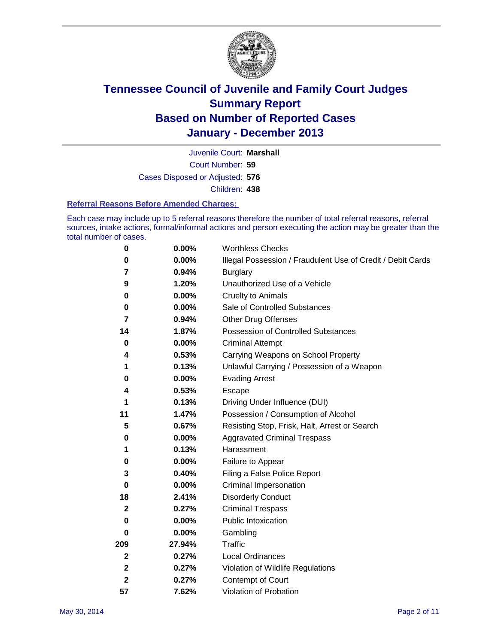

Court Number: **59** Juvenile Court: **Marshall** Cases Disposed or Adjusted: **576** Children: **438**

#### **Referral Reasons Before Amended Charges:**

Each case may include up to 5 referral reasons therefore the number of total referral reasons, referral sources, intake actions, formal/informal actions and person executing the action may be greater than the total number of cases.

| 0            | 0.00%    | <b>Worthless Checks</b>                                     |
|--------------|----------|-------------------------------------------------------------|
| 0            | 0.00%    | Illegal Possession / Fraudulent Use of Credit / Debit Cards |
| 7            | 0.94%    | <b>Burglary</b>                                             |
| 9            | 1.20%    | Unauthorized Use of a Vehicle                               |
| 0            | 0.00%    | <b>Cruelty to Animals</b>                                   |
| 0            | $0.00\%$ | Sale of Controlled Substances                               |
| 7            | 0.94%    | <b>Other Drug Offenses</b>                                  |
| 14           | 1.87%    | Possession of Controlled Substances                         |
| 0            | 0.00%    | <b>Criminal Attempt</b>                                     |
| 4            | 0.53%    | Carrying Weapons on School Property                         |
| 1            | 0.13%    | Unlawful Carrying / Possession of a Weapon                  |
| 0            | 0.00%    | <b>Evading Arrest</b>                                       |
| 4            | 0.53%    | Escape                                                      |
| 1            | 0.13%    | Driving Under Influence (DUI)                               |
| 11           | 1.47%    | Possession / Consumption of Alcohol                         |
| 5            | 0.67%    | Resisting Stop, Frisk, Halt, Arrest or Search               |
| 0            | 0.00%    | <b>Aggravated Criminal Trespass</b>                         |
| 1            | 0.13%    | Harassment                                                  |
| 0            | 0.00%    | Failure to Appear                                           |
| 3            | 0.40%    | Filing a False Police Report                                |
| 0            | $0.00\%$ | Criminal Impersonation                                      |
| 18           | 2.41%    | <b>Disorderly Conduct</b>                                   |
| $\mathbf{2}$ | 0.27%    | <b>Criminal Trespass</b>                                    |
| $\bf{0}$     | 0.00%    | <b>Public Intoxication</b>                                  |
| 0            | 0.00%    | Gambling                                                    |
| 209          | 27.94%   | Traffic                                                     |
| $\mathbf{2}$ | 0.27%    | <b>Local Ordinances</b>                                     |
| $\mathbf 2$  | 0.27%    | Violation of Wildlife Regulations                           |
| $\mathbf{2}$ | 0.27%    | Contempt of Court                                           |
| 57           | 7.62%    | Violation of Probation                                      |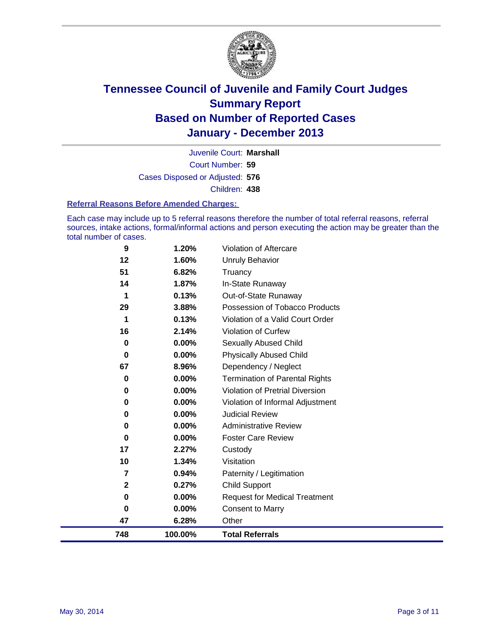

Court Number: **59** Juvenile Court: **Marshall** Cases Disposed or Adjusted: **576** Children: **438**

#### **Referral Reasons Before Amended Charges:**

Each case may include up to 5 referral reasons therefore the number of total referral reasons, referral sources, intake actions, formal/informal actions and person executing the action may be greater than the total number of cases.

| 0<br>47 | 0.00%<br>6.28%                                  | <b>Consent to Marry</b><br>Other                                                                                  |
|---------|-------------------------------------------------|-------------------------------------------------------------------------------------------------------------------|
|         |                                                 |                                                                                                                   |
|         |                                                 |                                                                                                                   |
| 0       | 0.00%                                           | <b>Request for Medical Treatment</b>                                                                              |
| 2       | 0.27%                                           | <b>Child Support</b>                                                                                              |
| 7       | 0.94%                                           | Paternity / Legitimation                                                                                          |
| 10      | 1.34%                                           | Visitation                                                                                                        |
| 17      | 2.27%                                           | Custody                                                                                                           |
| 0       | $0.00\%$                                        | <b>Foster Care Review</b>                                                                                         |
| 0       | $0.00\%$                                        | <b>Administrative Review</b>                                                                                      |
| 0       | $0.00\%$                                        | <b>Judicial Review</b>                                                                                            |
| 0       | 0.00%                                           | Violation of Informal Adjustment                                                                                  |
| 0       | 0.00%                                           | <b>Violation of Pretrial Diversion</b>                                                                            |
| 0       |                                                 | <b>Termination of Parental Rights</b>                                                                             |
|         |                                                 | Dependency / Neglect                                                                                              |
| 0       |                                                 | <b>Physically Abused Child</b>                                                                                    |
| 0       |                                                 | Sexually Abused Child                                                                                             |
|         |                                                 | Violation of Curfew                                                                                               |
|         |                                                 | Violation of a Valid Court Order                                                                                  |
|         |                                                 | Possession of Tobacco Products                                                                                    |
|         |                                                 | Out-of-State Runaway                                                                                              |
|         |                                                 | Truancy<br>In-State Runaway                                                                                       |
|         |                                                 | Unruly Behavior                                                                                                   |
|         |                                                 | <b>Violation of Aftercare</b>                                                                                     |
|         | 9<br>12<br>51<br>14<br>1<br>29<br>1<br>16<br>67 | 1.20%<br>1.60%<br>6.82%<br>1.87%<br>0.13%<br>3.88%<br>0.13%<br>2.14%<br>$0.00\%$<br>$0.00\%$<br>8.96%<br>$0.00\%$ |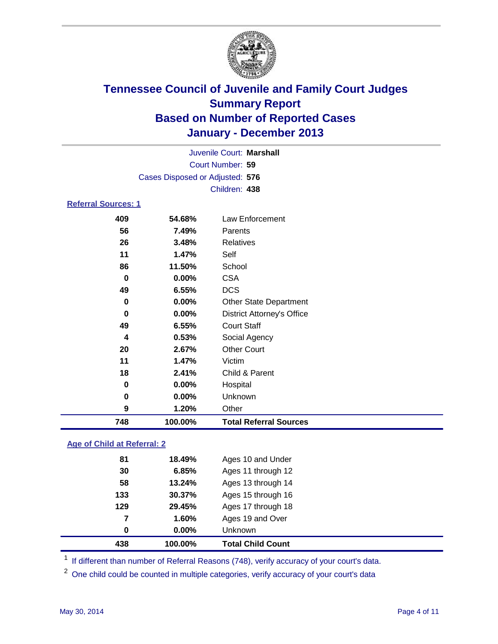

|                            | Juvenile Court: Marshall        |                                   |  |  |  |  |
|----------------------------|---------------------------------|-----------------------------------|--|--|--|--|
|                            | Court Number: 59                |                                   |  |  |  |  |
|                            | Cases Disposed or Adjusted: 576 |                                   |  |  |  |  |
|                            |                                 | Children: 438                     |  |  |  |  |
| <b>Referral Sources: 1</b> |                                 |                                   |  |  |  |  |
| 409                        | 54.68%                          | Law Enforcement                   |  |  |  |  |
| 56                         | 7.49%                           | Parents                           |  |  |  |  |
| 26                         | 3.48%                           | <b>Relatives</b>                  |  |  |  |  |
| 11                         | 1.47%                           | Self                              |  |  |  |  |
| 86                         | 11.50%                          | School                            |  |  |  |  |
| 0                          | $0.00\%$                        | <b>CSA</b>                        |  |  |  |  |
| 49                         | 6.55%                           | <b>DCS</b>                        |  |  |  |  |
| 0                          | $0.00\%$                        | <b>Other State Department</b>     |  |  |  |  |
| 0                          | $0.00\%$                        | <b>District Attorney's Office</b> |  |  |  |  |
| 49                         | 6.55%                           | <b>Court Staff</b>                |  |  |  |  |
| 4                          | 0.53%                           | Social Agency                     |  |  |  |  |

| 748 | 100.00%  | <b>Total Referral Sources</b> |  |
|-----|----------|-------------------------------|--|
| 9   | 1.20%    | Other                         |  |
| 0   | $0.00\%$ | <b>Unknown</b>                |  |
| 0   | $0.00\%$ | Hospital                      |  |
| 18  | 2.41%    | Child & Parent                |  |
| 11  | 1.47%    | Victim                        |  |
| 20  | 2.67%    | <b>Other Court</b>            |  |

### **Age of Child at Referral: 2**

| 438 | 100.00%  | <b>Total Child Count</b> |
|-----|----------|--------------------------|
| 0   | $0.00\%$ | Unknown                  |
| 7   | 1.60%    | Ages 19 and Over         |
| 129 | 29.45%   | Ages 17 through 18       |
| 133 | 30.37%   | Ages 15 through 16       |
| 58  | 13.24%   | Ages 13 through 14       |
| 30  | 6.85%    | Ages 11 through 12       |
| 81  | 18.49%   | Ages 10 and Under        |
|     |          |                          |

<sup>1</sup> If different than number of Referral Reasons (748), verify accuracy of your court's data.

<sup>2</sup> One child could be counted in multiple categories, verify accuracy of your court's data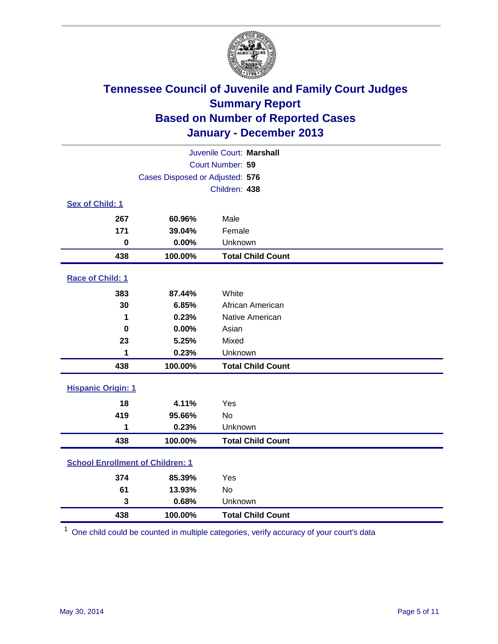

| Juvenile Court: Marshall                |                                 |                          |  |  |
|-----------------------------------------|---------------------------------|--------------------------|--|--|
|                                         | Court Number: 59                |                          |  |  |
|                                         | Cases Disposed or Adjusted: 576 |                          |  |  |
|                                         |                                 | Children: 438            |  |  |
| Sex of Child: 1                         |                                 |                          |  |  |
| 267                                     | 60.96%                          | Male                     |  |  |
| 171                                     | 39.04%                          | Female                   |  |  |
| $\mathbf 0$                             | 0.00%                           | Unknown                  |  |  |
| 438                                     | 100.00%                         | <b>Total Child Count</b> |  |  |
| Race of Child: 1                        |                                 |                          |  |  |
| 383                                     | 87.44%                          | White                    |  |  |
| 30                                      | 6.85%                           | African American         |  |  |
| 1                                       | 0.23%                           | Native American          |  |  |
| $\mathbf 0$                             | 0.00%                           | Asian                    |  |  |
| 23                                      | 5.25%                           | Mixed                    |  |  |
| 1                                       | 0.23%                           | Unknown                  |  |  |
| 438                                     | 100.00%                         | <b>Total Child Count</b> |  |  |
| <b>Hispanic Origin: 1</b>               |                                 |                          |  |  |
| 18                                      | 4.11%                           | Yes                      |  |  |
| 419                                     | 95.66%                          | <b>No</b>                |  |  |
| 1                                       | 0.23%                           | Unknown                  |  |  |
| 438                                     | 100.00%                         | <b>Total Child Count</b> |  |  |
| <b>School Enrollment of Children: 1</b> |                                 |                          |  |  |
| 374                                     | 85.39%                          | Yes                      |  |  |
| 61                                      | 13.93%                          | <b>No</b>                |  |  |
| 3                                       | 0.68%                           | Unknown                  |  |  |
| 438                                     | 100.00%                         | <b>Total Child Count</b> |  |  |

One child could be counted in multiple categories, verify accuracy of your court's data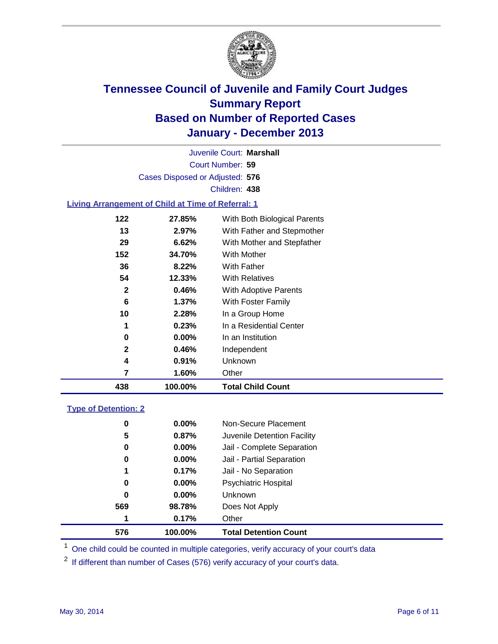

Court Number: **59** Juvenile Court: **Marshall** Cases Disposed or Adjusted: **576** Children: **438**

### **Living Arrangement of Child at Time of Referral: 1**

| 438          | 100.00%  | <b>Total Child Count</b>     |
|--------------|----------|------------------------------|
| 7            | 1.60%    | Other                        |
| 4            | 0.91%    | Unknown                      |
| 2            | 0.46%    | Independent                  |
| 0            | $0.00\%$ | In an Institution            |
| 1            | 0.23%    | In a Residential Center      |
| 10           | 2.28%    | In a Group Home              |
| 6            | 1.37%    | With Foster Family           |
| $\mathbf{2}$ | 0.46%    | With Adoptive Parents        |
| 54           | 12.33%   | <b>With Relatives</b>        |
| 36           | 8.22%    | With Father                  |
| 152          | 34.70%   | With Mother                  |
| 29           | 6.62%    | With Mother and Stepfather   |
| 13           | 2.97%    | With Father and Stepmother   |
| 122          | 27.85%   | With Both Biological Parents |
|              |          |                              |

### **Type of Detention: 2**

| 576 | 100.00%  | <b>Total Detention Count</b> |  |
|-----|----------|------------------------------|--|
| 1   | 0.17%    | Other                        |  |
| 569 | 98.78%   | Does Not Apply               |  |
| 0   | $0.00\%$ | <b>Unknown</b>               |  |
| 0   | $0.00\%$ | <b>Psychiatric Hospital</b>  |  |
| 1   | 0.17%    | Jail - No Separation         |  |
| 0   | $0.00\%$ | Jail - Partial Separation    |  |
| 0   | 0.00%    | Jail - Complete Separation   |  |
| 5   | 0.87%    | Juvenile Detention Facility  |  |
| 0   | 0.00%    | Non-Secure Placement         |  |
|     |          |                              |  |

<sup>1</sup> One child could be counted in multiple categories, verify accuracy of your court's data

If different than number of Cases (576) verify accuracy of your court's data.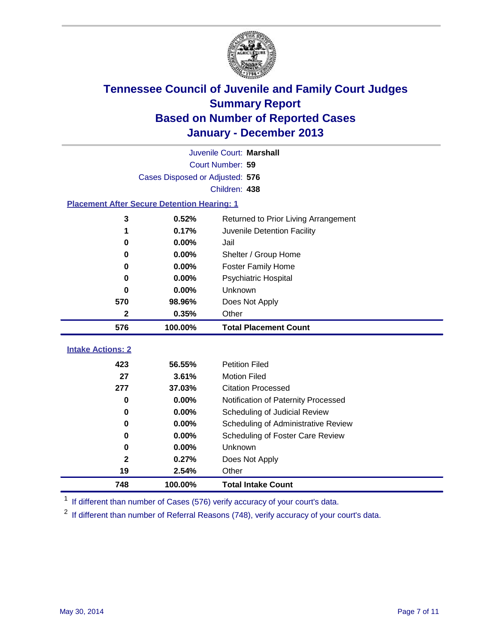

|                                                    | Juvenile Court: Marshall        |                                      |  |  |  |
|----------------------------------------------------|---------------------------------|--------------------------------------|--|--|--|
|                                                    | Court Number: 59                |                                      |  |  |  |
|                                                    | Cases Disposed or Adjusted: 576 |                                      |  |  |  |
|                                                    |                                 | Children: 438                        |  |  |  |
| <b>Placement After Secure Detention Hearing: 1</b> |                                 |                                      |  |  |  |
| 3                                                  | 0.52%                           | Returned to Prior Living Arrangement |  |  |  |
| 1                                                  | 0.17%                           | Juvenile Detention Facility          |  |  |  |
| 0                                                  | 0.00%                           | Jail                                 |  |  |  |
| 0                                                  | 0.00%                           | Shelter / Group Home                 |  |  |  |
| $\bf{0}$                                           | 0.00%                           | <b>Foster Family Home</b>            |  |  |  |
| 0                                                  | 0.00%                           | Psychiatric Hospital                 |  |  |  |
| 0                                                  | 0.00%                           | Unknown                              |  |  |  |
| 570                                                | 98.96%                          | Does Not Apply                       |  |  |  |
| $\mathbf{2}$                                       | 0.35%                           | Other                                |  |  |  |
| 576                                                | 100.00%                         | <b>Total Placement Count</b>         |  |  |  |
| <b>Intake Actions: 2</b>                           |                                 |                                      |  |  |  |
|                                                    |                                 |                                      |  |  |  |
| 423                                                | 56.55%                          | <b>Petition Filed</b>                |  |  |  |
| 27                                                 | 3.61%                           | <b>Motion Filed</b>                  |  |  |  |
| 277                                                | 37.03%                          | <b>Citation Processed</b>            |  |  |  |
| 0                                                  | 0.00%                           | Notification of Paternity Processed  |  |  |  |
| 0                                                  | 0.00%                           | Scheduling of Judicial Review        |  |  |  |
| $\bf{0}$                                           | 0.00%                           | Scheduling of Administrative Review  |  |  |  |
| 0                                                  | 0.00%                           | Scheduling of Foster Care Review     |  |  |  |
| 0                                                  | 0.00%                           | Unknown                              |  |  |  |
| $\overline{2}$                                     | 0.27%                           | Does Not Apply                       |  |  |  |
| 19                                                 | 2.54%                           | Other                                |  |  |  |
| 748                                                | 100.00%                         | <b>Total Intake Count</b>            |  |  |  |

<sup>1</sup> If different than number of Cases (576) verify accuracy of your court's data.

If different than number of Referral Reasons (748), verify accuracy of your court's data.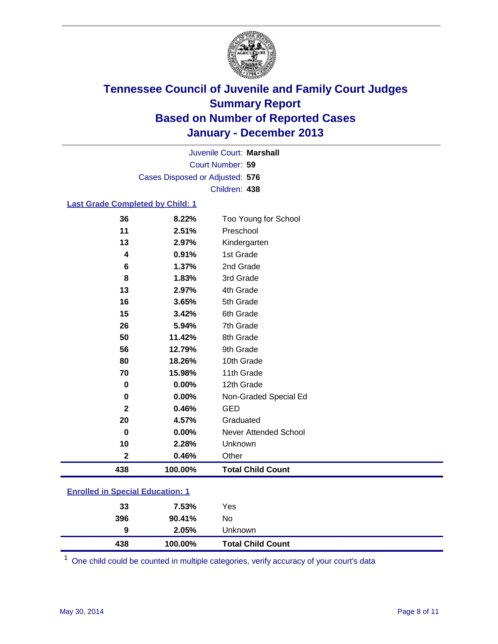

Court Number: **59** Juvenile Court: **Marshall** Cases Disposed or Adjusted: **576** Children: **438**

### **Last Grade Completed by Child: 1**

| 36           | 8.22%    | Too Young for School     |
|--------------|----------|--------------------------|
| 11           | 2.51%    | Preschool                |
| 13           | 2.97%    | Kindergarten             |
| 4            | 0.91%    | 1st Grade                |
| $\bf 6$      | 1.37%    | 2nd Grade                |
| 8            | 1.83%    | 3rd Grade                |
| 13           | 2.97%    | 4th Grade                |
| 16           | 3.65%    | 5th Grade                |
| 15           | 3.42%    | 6th Grade                |
| 26           | 5.94%    | 7th Grade                |
| 50           | 11.42%   | 8th Grade                |
| 56           | 12.79%   | 9th Grade                |
| 80           | 18.26%   | 10th Grade               |
| 70           | 15.98%   | 11th Grade               |
| 0            | 0.00%    | 12th Grade               |
| $\bf{0}$     | $0.00\%$ | Non-Graded Special Ed    |
| $\mathbf{2}$ | 0.46%    | <b>GED</b>               |
| 20           | 4.57%    | Graduated                |
| $\bf{0}$     | $0.00\%$ | Never Attended School    |
| 10           | 2.28%    | Unknown                  |
| $\mathbf{2}$ | 0.46%    | Other                    |
| 438          | 100.00%  | <b>Total Child Count</b> |

| 438 | 100.00% | <b>Total Child Count</b> |
|-----|---------|--------------------------|
| 9   | 2.05%   | Unknown                  |
| 396 | 90.41%  | No                       |
| 33  | 7.53%   | Yes                      |
|     |         |                          |

One child could be counted in multiple categories, verify accuracy of your court's data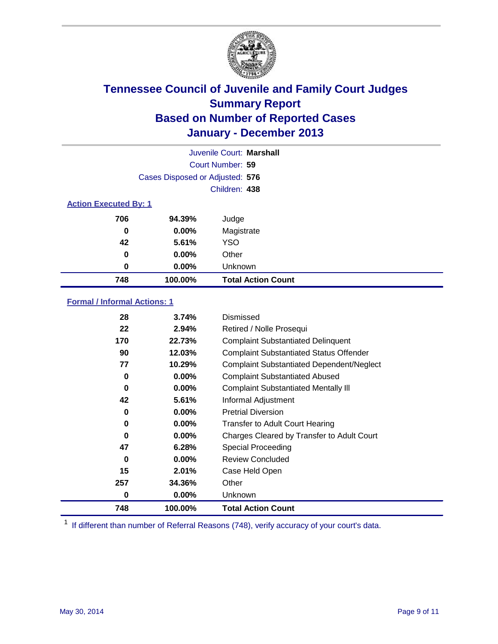

|                              |                                 | Juvenile Court: Marshall  |
|------------------------------|---------------------------------|---------------------------|
|                              |                                 | Court Number: 59          |
|                              | Cases Disposed or Adjusted: 576 |                           |
|                              |                                 | Children: 438             |
| <b>Action Executed By: 1</b> |                                 |                           |
| 706                          | 94.39%                          | Judge                     |
| 0                            | $0.00\%$                        | Magistrate                |
| 42                           | 5.61%                           | <b>YSO</b>                |
| 0                            | $0.00\%$                        | Other                     |
| 0                            | $0.00\%$                        | Unknown                   |
| 748                          | 100.00%                         | <b>Total Action Count</b> |

### **Formal / Informal Actions: 1**

| 28  | 3.74%    | Dismissed                                        |
|-----|----------|--------------------------------------------------|
| 22  | 2.94%    | Retired / Nolle Prosequi                         |
| 170 | 22.73%   | <b>Complaint Substantiated Delinquent</b>        |
| 90  | 12.03%   | <b>Complaint Substantiated Status Offender</b>   |
| 77  | 10.29%   | <b>Complaint Substantiated Dependent/Neglect</b> |
| 0   | $0.00\%$ | <b>Complaint Substantiated Abused</b>            |
| 0   | 0.00%    | <b>Complaint Substantiated Mentally III</b>      |
| 42  | 5.61%    | Informal Adjustment                              |
| 0   | $0.00\%$ | <b>Pretrial Diversion</b>                        |
| 0   | $0.00\%$ | <b>Transfer to Adult Court Hearing</b>           |
| 0   | 0.00%    | Charges Cleared by Transfer to Adult Court       |
| 47  | 6.28%    | Special Proceeding                               |
| 0   | $0.00\%$ | <b>Review Concluded</b>                          |
| 15  | 2.01%    | Case Held Open                                   |
| 257 | 34.36%   | Other                                            |
| 0   | $0.00\%$ | Unknown                                          |
| 748 | 100.00%  | <b>Total Action Count</b>                        |

<sup>1</sup> If different than number of Referral Reasons (748), verify accuracy of your court's data.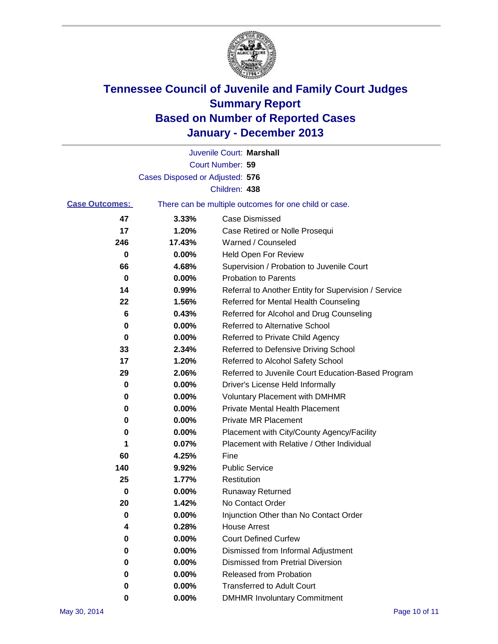

|                       |                                 | Juvenile Court: Marshall                              |
|-----------------------|---------------------------------|-------------------------------------------------------|
|                       |                                 | Court Number: 59                                      |
|                       | Cases Disposed or Adjusted: 576 |                                                       |
|                       |                                 | Children: 438                                         |
| <b>Case Outcomes:</b> |                                 | There can be multiple outcomes for one child or case. |
| 47                    | 3.33%                           | Case Dismissed                                        |
| 17                    | 1.20%                           | Case Retired or Nolle Prosequi                        |
| 246                   | 17.43%                          | Warned / Counseled                                    |
| 0                     | 0.00%                           | Held Open For Review                                  |
| 66                    | 4.68%                           | Supervision / Probation to Juvenile Court             |
| 0                     | 0.00%                           | <b>Probation to Parents</b>                           |
| 14                    | 0.99%                           | Referral to Another Entity for Supervision / Service  |
| 22                    | 1.56%                           | Referred for Mental Health Counseling                 |
| 6                     | 0.43%                           | Referred for Alcohol and Drug Counseling              |
| 0                     | 0.00%                           | Referred to Alternative School                        |
| 0                     | 0.00%                           | Referred to Private Child Agency                      |
| 33                    | 2.34%                           | Referred to Defensive Driving School                  |
| 17                    | 1.20%                           | Referred to Alcohol Safety School                     |
| 29                    | 2.06%                           | Referred to Juvenile Court Education-Based Program    |
| 0                     | 0.00%                           | Driver's License Held Informally                      |
| 0                     | 0.00%                           | <b>Voluntary Placement with DMHMR</b>                 |
| 0                     | 0.00%                           | <b>Private Mental Health Placement</b>                |
| 0                     | 0.00%                           | <b>Private MR Placement</b>                           |
| 0                     | 0.00%                           | Placement with City/County Agency/Facility            |
| 1                     | 0.07%                           | Placement with Relative / Other Individual            |
| 60                    | 4.25%                           | Fine                                                  |
| 140                   | 9.92%                           | <b>Public Service</b>                                 |
| 25                    | 1.77%                           | Restitution                                           |
| 0                     | 0.00%                           | <b>Runaway Returned</b>                               |
| 20                    | 1.42%                           | No Contact Order                                      |
| 0                     | 0.00%                           | Injunction Other than No Contact Order                |
| 4                     | 0.28%                           | <b>House Arrest</b>                                   |
| 0                     | 0.00%                           | <b>Court Defined Curfew</b>                           |
| 0                     | 0.00%                           | Dismissed from Informal Adjustment                    |
| 0                     | 0.00%                           | Dismissed from Pretrial Diversion                     |
| 0                     | 0.00%                           | Released from Probation                               |
| 0                     | 0.00%                           | <b>Transferred to Adult Court</b>                     |
| 0                     | 0.00%                           | <b>DMHMR Involuntary Commitment</b>                   |